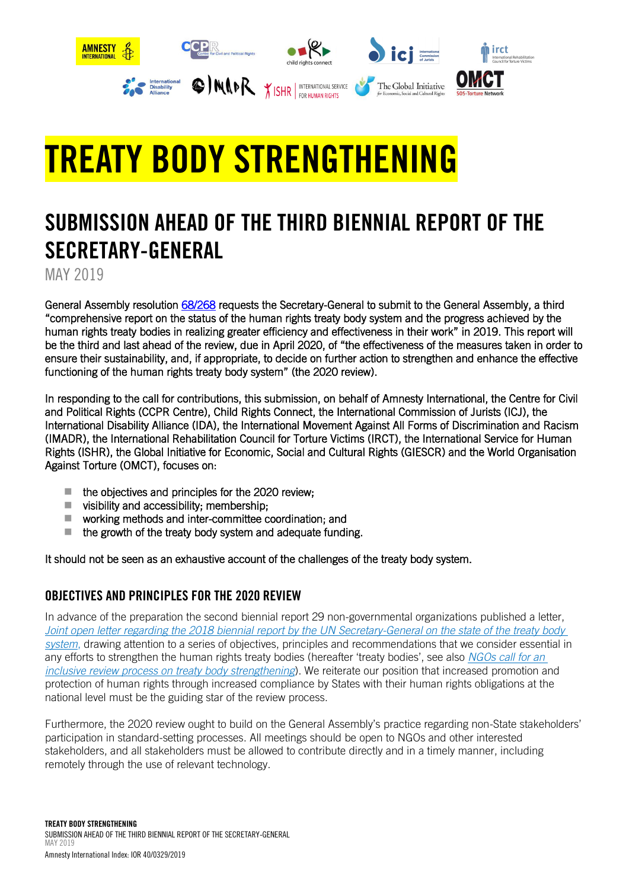

# TREATY BODY STRENGTHENING

## SUBMISSION AHEAD OF THE THIRD BIENNIAL REPORT OF THE SECRETARY-GENERAL

MAY 2019

General Assembly resolution [68/268](https://undocs.org/A/RES/68/268) requests the Secretary-General to submit to the General Assembly, a third "comprehensive report on the status of the human rights treaty body system and the progress achieved by the human rights treaty bodies in realizing greater efficiency and effectiveness in their work" in 2019. This report will be the third and last ahead of the review, due in April 2020, of "the effectiveness of the measures taken in order to ensure their sustainability, and, if appropriate, to decide on further action to strengthen and enhance the effective functioning of the human rights treaty body system" (the 2020 review).

In responding to the call for contributions, this submission, on behalf of Amnesty International, the Centre for Civil and Political Rights (CCPR Centre), Child Rights Connect, the International Commission of Jurists (ICJ), the International Disability Alliance (IDA), the International Movement Against All Forms of Discrimination and Racism (IMADR), the International Rehabilitation Council for Torture Victims (IRCT), the International Service for Human Rights (ISHR), the Global Initiative for Economic, Social and Cultural Rights (GIESCR) and the World Organisation Against Torture (OMCT), focuses on:

- $\blacksquare$  the objectives and principles for the 2020 review:
- $\blacksquare$  visibility and accessibility; membership;
- working methods and inter-committee coordination; and
- $\blacksquare$  the growth of the treaty body system and adequate funding.

It should not be seen as an exhaustive account of the challenges of the treaty body system.

### OBJECTIVES AND PRINCIPLES FOR THE 2020 REVIEW

In advance of the preparation the second biennial report 29 non-governmental organizations published a letter, *[Joint open letter regarding the 2018 biennial report by the UN Secretary-General on the state of the treaty body](https://www.amnesty.org/en/documents/ior40/7959/2018/en/)  [system](https://www.amnesty.org/en/documents/ior40/7959/2018/en/)*, drawing attention to a series of objectives, principles and recommendations that we consider essential in any efforts to strengthen the human rights treaty bodies (hereafter 'treaty bodies', see also *[NGOs call for an](https://www.amnesty.org/en/documents/ior40/9859/2019/en/)  [inclusive review process on treaty body strengthening](https://www.amnesty.org/en/documents/ior40/9859/2019/en/)*). We reiterate our position that increased promotion and protection of human rights through increased compliance by States with their human rights obligations at the national level must be the guiding star of the review process.

Furthermore, the 2020 review ought to build on the General Assembly's practice regarding non-State stakeholders' participation in standard-setting processes. All meetings should be open to NGOs and other interested stakeholders, and all stakeholders must be allowed to contribute directly and in a timely manner, including remotely through the use of relevant technology.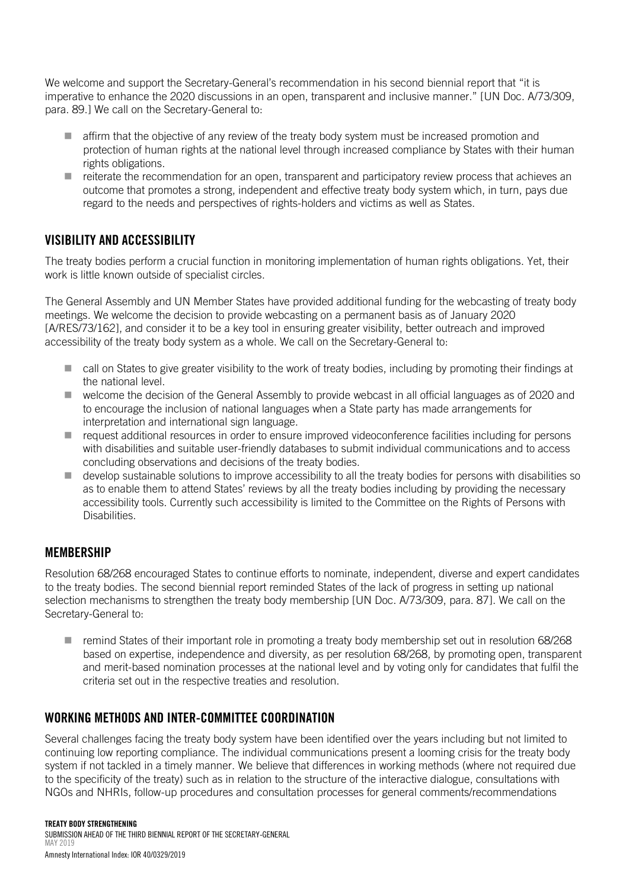We welcome and support the Secretary-General's recommendation in his second biennial report that "it is imperative to enhance the 2020 discussions in an open, transparent and inclusive manner." [UN Doc. A/73/309, para. 89.] We call on the Secretary-General to:

- affirm that the objective of any review of the treaty body system must be increased promotion and protection of human rights at the national level through increased compliance by States with their human rights obligations.
- $\blacksquare$  reiterate the recommendation for an open, transparent and participatory review process that achieves an outcome that promotes a strong, independent and effective treaty body system which, in turn, pays due regard to the needs and perspectives of rights-holders and victims as well as States.

#### VISIBILITY AND ACCESSIBILITY

The treaty bodies perform a crucial function in monitoring implementation of human rights obligations. Yet, their work is little known outside of specialist circles.

The General Assembly and UN Member States have provided additional funding for the webcasting of treaty body meetings. We welcome the decision to provide webcasting on a permanent basis as of January 2020 [A/RES/73/162], and consider it to be a key tool in ensuring greater visibility, better outreach and improved accessibility of the treaty body system as a whole. We call on the Secretary-General to:

- call on States to give greater visibility to the work of treaty bodies, including by promoting their findings at the national level.
- welcome the decision of the General Assembly to provide webcast in all official languages as of 2020 and to encourage the inclusion of national languages when a State party has made arrangements for interpretation and international sign language.
- $\blacksquare$  request additional resources in order to ensure improved videoconference facilities including for persons with disabilities and suitable user-friendly databases to submit individual communications and to access concluding observations and decisions of the treaty bodies.
- **develop sustainable solutions to improve accessibility to all the treaty bodies for persons with disabilities so** as to enable them to attend States' reviews by all the treaty bodies including by providing the necessary accessibility tools. Currently such accessibility is limited to the Committee on the Rights of Persons with Disabilities.

#### MEMBERSHIP

Resolution 68/268 encouraged States to continue efforts to nominate, independent, diverse and expert candidates to the treaty bodies. The second biennial report reminded States of the lack of progress in setting up national selection mechanisms to strengthen the treaty body membership [UN Doc. A/73/309, para. 87]. We call on the Secretary-General to:

■ remind States of their important role in promoting a treaty body membership set out in resolution 68/268 based on expertise, independence and diversity, as per resolution 68/268, by promoting open, transparent and merit-based nomination processes at the national level and by voting only for candidates that fulfil the criteria set out in the respective treaties and resolution.

#### WORKING METHODS AND INTER-COMMITTEE COORDINATION

Several challenges facing the treaty body system have been identified over the years including but not limited to continuing low reporting compliance. The individual communications present a looming crisis for the treaty body system if not tackled in a timely manner. We believe that differences in working methods (where not required due to the specificity of the treaty) such as in relation to the structure of the interactive dialogue, consultations with NGOs and NHRIs, follow-up procedures and consultation processes for general comments/recommendations

#### TREATY BODY STRENGTHENING

SUBMISSION AHEAD OF THE THIRD BIENNIAL REPORT OF THE SECRETARY-GENERAL MAY 2019